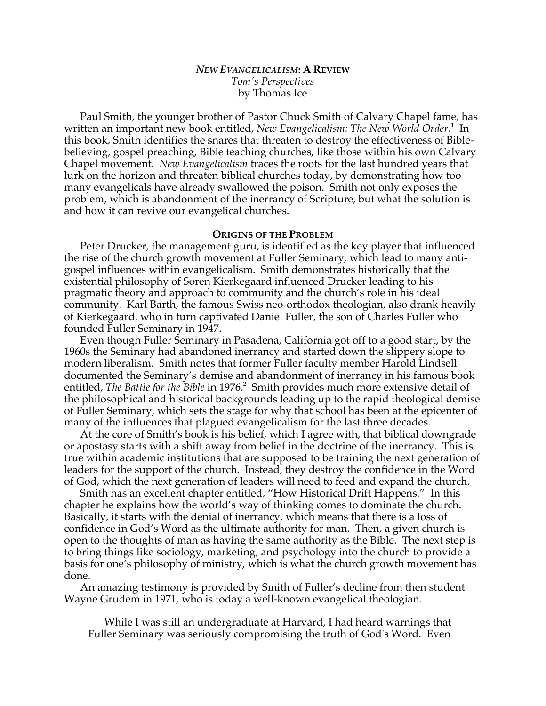# *NEW EVANGELICALISM***: A REVIEW** *Tom's Perspectives* by Thomas Ice

Paul Smith, the younger brother of Pastor Chuck Smith of Calvary Chapel fame, has written an important new book entitled, *New Evangelicalism: The New World Order*.<sup>1</sup> In this book, Smith identifies the snares that threaten to destroy the effectiveness of Biblebelieving, gospel preaching, Bible teaching churches, like those within his own Calvary Chapel movement. *New Evangelicalism* traces the roots for the last hundred years that lurk on the horizon and threaten biblical churches today, by demonstrating how too many evangelicals have already swallowed the poison. Smith not only exposes the problem, which is abandonment of the inerrancy of Scripture, but what the solution is and how it can revive our evangelical churches.

## **ORIGINS OF THE PROBLEM**

Peter Drucker, the management guru, is identified as the key player that influenced the rise of the church growth movement at Fuller Seminary, which lead to many antigospel influences within evangelicalism. Smith demonstrates historically that the existential philosophy of Soren Kierkegaard influenced Drucker leading to his pragmatic theory and approach to community and the church's role in his ideal community. Karl Barth, the famous Swiss neo-orthodox theologian, also drank heavily of Kierkegaard, who in turn captivated Daniel Fuller, the son of Charles Fuller who founded Fuller Seminary in 1947.

Even though Fuller Seminary in Pasadena, California got off to a good start, by the 1960s the Seminary had abandoned inerrancy and started down the slippery slope to modern liberalism. Smith notes that former Fuller faculty member Harold Lindsell documented the Seminary's demise and abandonment of inerrancy in his famous book entitled, *The Battle for the Bible* in 1976.<sup>2</sup> Smith provides much more extensive detail of the philosophical and historical backgrounds leading up to the rapid theological demise of Fuller Seminary, which sets the stage for why that school has been at the epicenter of many of the influences that plagued evangelicalism for the last three decades.

At the core of Smith's book is his belief, which I agree with, that biblical downgrade or apostasy starts with a shift away from belief in the doctrine of the inerrancy. This is true within academic institutions that are supposed to be training the next generation of leaders for the support of the church. Instead, they destroy the confidence in the Word of God, which the next generation of leaders will need to feed and expand the church.

Smith has an excellent chapter entitled, "How Historical Drift Happens." In this chapter he explains how the world's way of thinking comes to dominate the church. Basically, it starts with the denial of inerrancy, which means that there is a loss of confidence in God's Word as the ultimate authority for man. Then, a given church is open to the thoughts of man as having the same authority as the Bible. The next step is to bring things like sociology, marketing, and psychology into the church to provide a basis for one's philosophy of ministry, which is what the church growth movement has done.

An amazing testimony is provided by Smith of Fuller's decline from then student Wayne Grudem in 1971, who is today a well-known evangelical theologian.

While I was still an undergraduate at Harvard, I had heard warnings that Fuller Seminary was seriously compromising the truth of God's Word. Even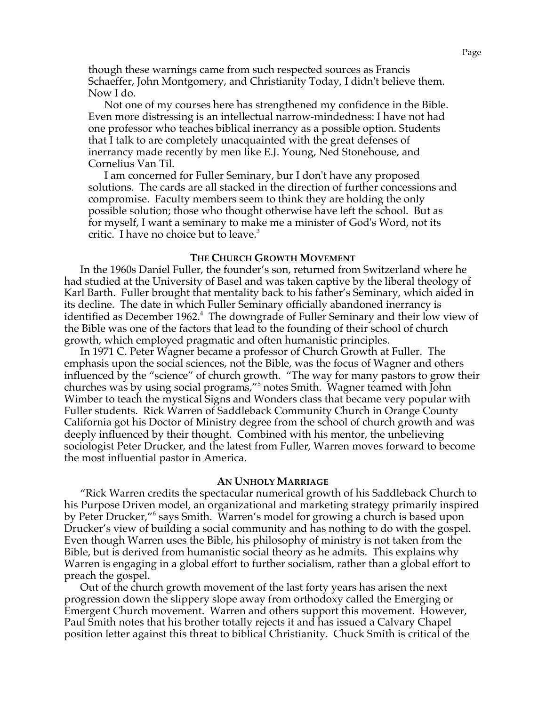though these warnings came from such respected sources as Francis Schaeffer, John Montgomery, and Christianity Today, I didn't believe them. Now I do.

Not one of my courses here has strengthened my confidence in the Bible. Even more distressing is an intellectual narrow-mindedness: I have not had one professor who teaches biblical inerrancy as a possible option. Students that I talk to are completely unacquainted with the great defenses of inerrancy made recently by men like E.J. Young, Ned Stonehouse, and Cornelius Van Til.

I am concerned for Fuller Seminary, bur I don't have any proposed solutions. The cards are all stacked in the direction of further concessions and compromise. Faculty members seem to think they are holding the only possible solution; those who thought otherwise have left the school. But as for myself, I want a seminary to make me a minister of God's Word, not its critic. I have no choice but to leave.<sup>3</sup>

#### **THE CHURCH GROWTH MOVEMENT**

In the 1960s Daniel Fuller, the founder's son, returned from Switzerland where he had studied at the University of Basel and was taken captive by the liberal theology of Karl Barth. Fuller brought that mentality back to his father's Seminary, which aided in its decline. The date in which Fuller Seminary officially abandoned inerrancy is identified as December 1962.<sup>4</sup> The downgrade of Fuller Seminary and their low view of the Bible was one of the factors that lead to the founding of their school of church growth, which employed pragmatic and often humanistic principles.

In 1971 C. Peter Wagner became a professor of Church Growth at Fuller. The emphasis upon the social sciences, not the Bible, was the focus of Wagner and others influenced by the "science" of church growth. "The way for many pastors to grow their churches was by using social programs,"<sup>5</sup> notes Smith. Wagner teamed with John Wimber to teach the mystical Signs and Wonders class that became very popular with Fuller students. Rick Warren of Saddleback Community Church in Orange County California got his Doctor of Ministry degree from the school of church growth and was deeply influenced by their thought. Combined with his mentor, the unbelieving sociologist Peter Drucker, and the latest from Fuller, Warren moves forward to become the most influential pastor in America.

### **AN UNHOLY MARRIAGE**

"Rick Warren credits the spectacular numerical growth of his Saddleback Church to his Purpose Driven model, an organizational and marketing strategy primarily inspired by Peter Drucker,"6 says Smith. Warren's model for growing a church is based upon Drucker's view of building a social community and has nothing to do with the gospel. Even though Warren uses the Bible, his philosophy of ministry is not taken from the Bible, but is derived from humanistic social theory as he admits. This explains why Warren is engaging in a global effort to further socialism, rather than a global effort to preach the gospel.

Out of the church growth movement of the last forty years has arisen the next progression down the slippery slope away from orthodoxy called the Emerging or Emergent Church movement. Warren and others support this movement. However, Paul Smith notes that his brother totally rejects it and has issued a Calvary Chapel position letter against this threat to biblical Christianity. Chuck Smith is critical of the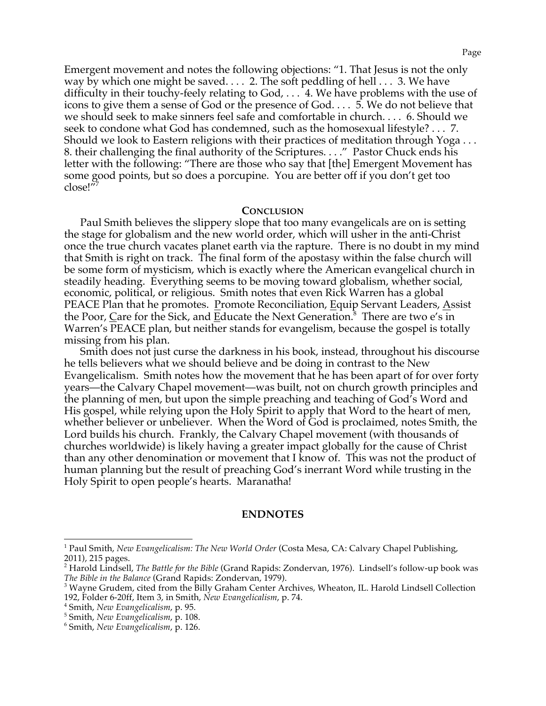Emergent movement and notes the following objections: "1. That Jesus is not the only way by which one might be saved. . . . 2. The soft peddling of hell . . . 3. We have difficulty in their touchy-feely relating to God, . . . 4. We have problems with the use of icons to give them a sense of God or the presence of God. . . . 5. We do not believe that we should seek to make sinners feel safe and comfortable in church. . . . 6. Should we seek to condone what God has condemned, such as the homosexual lifestyle? . . . 7. Should we look to Eastern religions with their practices of meditation through Yoga . . . 8. their challenging the final authority of the Scriptures. . . ." Pastor Chuck ends his letter with the following: "There are those who say that [the] Emergent Movement has some good points, but so does a porcupine. You are better off if you don't get too  $close!''$ 

# **CONCLUSION**

Paul Smith believes the slippery slope that too many evangelicals are on is setting the stage for globalism and the new world order, which will usher in the anti-Christ once the true church vacates planet earth via the rapture. There is no doubt in my mind that Smith is right on track. The final form of the apostasy within the false church will be some form of mysticism, which is exactly where the American evangelical church in steadily heading. Everything seems to be moving toward globalism, whether social, economic, political, or religious. Smith notes that even Rick Warren has a global PEACE Plan that he promotes. Promote Reconciliation, Equip Servant Leaders, Assist the Poor, Care for the Sick, and <u>E</u>ducate the Next Generation.<sup>8</sup> There are two e's in Warren's PEACE plan, but neither stands for evangelism, because the gospel is totally missing from his plan.

Smith does not just curse the darkness in his book, instead, throughout his discourse he tells believers what we should believe and be doing in contrast to the New Evangelicalism. Smith notes how the movement that he has been apart of for over forty years—the Calvary Chapel movement—was built, not on church growth principles and the planning of men, but upon the simple preaching and teaching of God's Word and His gospel, while relying upon the Holy Spirit to apply that Word to the heart of men, whether believer or unbeliever. When the Word of God is proclaimed, notes Smith, the Lord builds his church. Frankly, the Calvary Chapel movement (with thousands of churches worldwide) is likely having a greater impact globally for the cause of Christ than any other denomination or movement that I know of. This was not the product of human planning but the result of preaching God's inerrant Word while trusting in the Holy Spirit to open people's hearts. Maranatha!

## **ENDNOTES**

 <sup>1</sup> Paul Smith, *New Evangelicalism: The New World Order* (Costa Mesa, CA: Calvary Chapel Publishing, 2011), 215 pages.

<sup>2</sup> Harold Lindsell, *The Battle for the Bible* (Grand Rapids: Zondervan, 1976). Lindsell's follow-up book was

*The Bible in the Balance* (Grand Rapids: Zondervan, 1979).<br><sup>3</sup> Wayne Grudem, cited from the Billy Graham Center Archives, Wheaton, IL. Harold Lindsell Collection 192, Folder 6-20ff, Item 3, in Smith, *New Evangelicalism*, p. 74.<br><sup>4</sup> Smith, *New Evangelicalism*, p. 95.<br><sup>5</sup> Smith, *New Evangelicalism*, p. 108.<br>6 Smith, *New Evangelicalism*, p. 126.